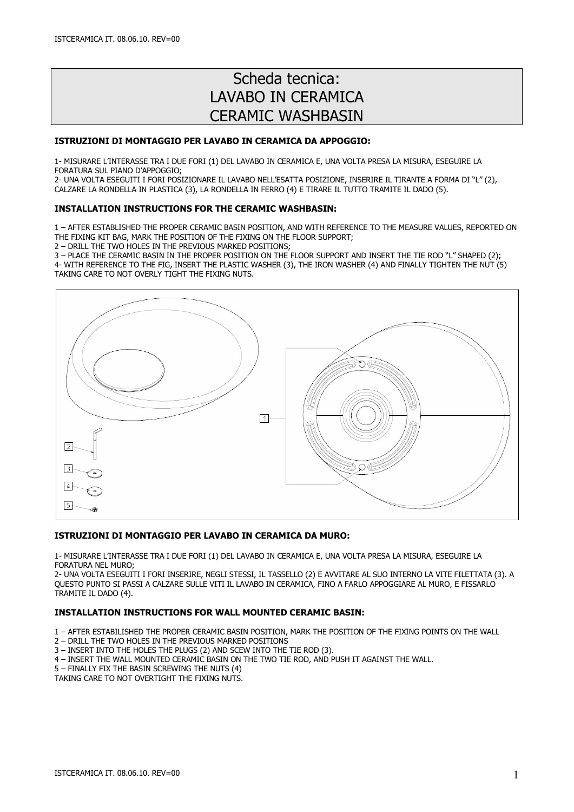# Scheda tecnica: LAVABO IN CERAMICA CERAMIC WASHBASIN

#### ISTRUZIONI DI MONTAGGIO PER LAVABO IN CERAMICA DA APPOGGIO:

1- MISURARE L'INTERASSE TRA I DUE FORI (1) DEL LAVABO IN CERAMICA E, UNA VOLTA PRESA LA MISURA, ESEGUIRE LA FORATURA SUL PIANO D'APPOGGIO;

2- UNA VOLTA ESEGUITI I FORI POSIZIONARE IL LAVABO NELL'ESATTA POSIZIONE, INSERIRE IL TIRANTE A FORMA DI "L" (2), CALZARE LA RONDELLA IN PLASTICA (3), LA RONDELLA IN FERRO (4) E TIRARE IL TUTTO TRAMITE IL DADO (5).

### INSTALLATION INSTRUCTIONS FOR THE CERAMIC WASHBASIN:

1 – AFTER ESTABLISHED THE PROPER CERAMIC BASIN POSITION, AND WITH REFERENCE TO THE MEASURE VALUES, REPORTED ON THE FIXING KIT BAG, MARK THE POSITION OF THE FIXING ON THE FLOOR SUPPORT;

2 – DRILL THE TWO HOLES IN THE PREVIOUS MARKED POSITIONS;

3 – PLACE THE CERAMIC BASIN IN THE PROPER POSITION ON THE FLOOR SUPPORT AND INSERT THE TIE ROD "L" SHAPED (2); 4- WITH REFERENCE TO THE FIG, INSERT THE PLASTIC WASHER (3), THE IRON WASHER (4) AND FINALLY TIGHTEN THE NUT (5) TAKING CARE TO NOT OVERLY TIGHT THE FIXING NUTS.



#### ISTRUZIONI DI MONTAGGIO PER LAVABO IN CERAMICA DA MURO:

1- MISURARE L'INTERASSE TRA I DUE FORI (1) DEL LAVABO IN CERAMICA E, UNA VOLTA PRESA LA MISURA, ESEGUIRE LA FORATURA NEL MURO;

2- UNA VOLTA ESEGUITI I FORI INSERIRE, NEGLI STESSI, IL TASSELLO (2) E AVVITARE AL SUO INTERNO LA VITE FILETTATA (3). A QUESTO PUNTO SI PASSI A CALZARE SULLE VITI IL LAVABO IN CERAMICA, FINO A FARLO APPOGGIARE AL MURO, E FISSARLO TRAMITE IL DADO (4).

## INSTALLATION INSTRUCTIONS FOR WALL MOUNTED CERAMIC BASIN:

1 – AFTER ESTABILISHED THE PROPER CERAMIC BASIN POSITION, MARK THE POSITION OF THE FIXING POINTS ON THE WALL

- 2 DRILL THE TWO HOLES IN THE PREVIOUS MARKED POSITIONS
- 3 INSERT INTO THE HOLES THE PLUGS (2) AND SCEW INTO THE TIE ROD (3).
- 4 INSERT THE WALL MOUNTED CERAMIC BASIN ON THE TWO TIE ROD, AND PUSH IT AGAINST THE WALL.
- 5 FINALLY FIX THE BASIN SCREWING THE NUTS (4)

TAKING CARE TO NOT OVERTIGHT THE FIXING NUTS.